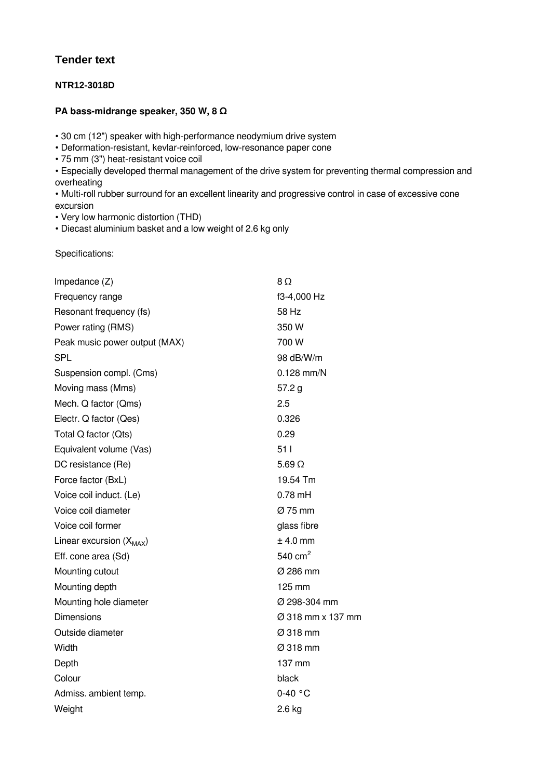## **Tender text**

## **NTR12-3018D**

## **PA bass-midrange speaker, 350 W, 8 Ω**

• 30 cm (12") speaker with high-performance neodymium drive system

- Deformation-resistant, kevlar-reinforced, low-resonance paper cone
- 75 mm (3") heat-resistant voice coil

• Especially developed thermal management of the drive system for preventing thermal compression and overheating

• Multi-roll rubber surround for an excellent linearity and progressive control in case of excessive cone excursion

• Very low harmonic distortion (THD)

• Diecast aluminium basket and a low weight of 2.6 kg only

Specifications:

| Impedance $(Z)$               | 8Ω                |
|-------------------------------|-------------------|
| Frequency range               | f3-4,000 Hz       |
| Resonant frequency (fs)       | 58 Hz             |
| Power rating (RMS)            | 350 W             |
| Peak music power output (MAX) | 700 W             |
| SPL                           | 98 dB/W/m         |
| Suspension compl. (Cms)       | $0.128$ mm/N      |
| Moving mass (Mms)             | 57.2 g            |
| Mech. Q factor (Qms)          | 2.5               |
| Electr. Q factor (Qes)        | 0.326             |
| Total Q factor (Qts)          | 0.29              |
| Equivalent volume (Vas)       | 511               |
| DC resistance (Re)            | $5.69 \Omega$     |
| Force factor (BxL)            | 19.54 Tm          |
| Voice coil induct. (Le)       | $0.78$ mH         |
| Voice coil diameter           | Ø 75 mm           |
| Voice coil former             | glass fibre       |
| Linear excursion $(X_{MAX})$  | $±$ 4.0 mm        |
| Eff. cone area (Sd)           | 540 $cm2$         |
| Mounting cutout               | Ø 286 mm          |
| Mounting depth                | 125 mm            |
| Mounting hole diameter        | Ø 298-304 mm      |
| <b>Dimensions</b>             | Ø 318 mm x 137 mm |
| Outside diameter              | Ø 318 mm          |
| Width                         | Ø 318 mm          |
| Depth                         | 137 mm            |
| Colour                        | black             |
| Admiss. ambient temp.         | $0-40$ °C         |
| Weight                        | $2.6$ kg          |
|                               |                   |